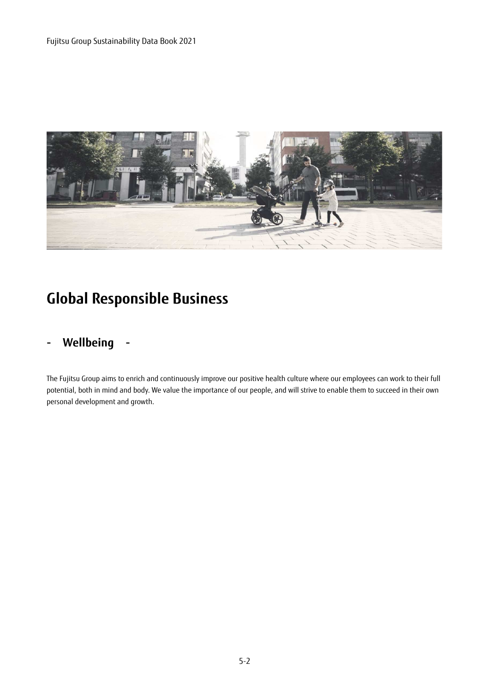

# **Global Responsible Business**

## **- Wellbeing -**

The Fujitsu Group aims to enrich and continuously improve our positive health culture where our employees can work to their full potential, both in mind and body. We value the importance of our people, and will strive to enable them to succeed in their own personal development and growth.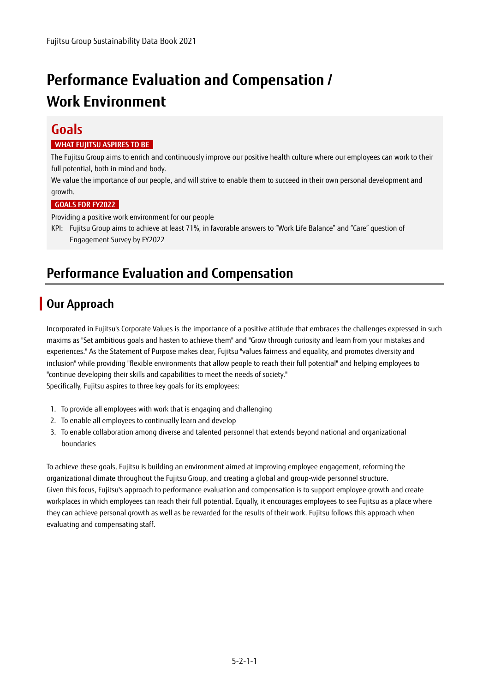# **Performance Evaluation and Compensation / Work Environment**

### **Goals**

#### **WHAT FUJITSU ASPIRES TO BE**

The Fujitsu Group aims to enrich and continuously improve our positive health culture where our employees can work to their full potential, both in mind and body.

We value the importance of our people, and will strive to enable them to succeed in their own personal development and growth.

#### **GOALS FOR FY2022**

Providing a positive work environment for our people

KPI: Fujitsu Group aims to achieve at least 71%, in favorable answers to "Work Life Balance" and "Care" question of Engagement Survey by FY2022

## **Performance Evaluation and Compensation**

## **Our Approach**

Incorporated in Fujitsu's Corporate Values is the importance of a positive attitude that embraces the challenges expressed in such maxims as "Set ambitious goals and hasten to achieve them" and "Grow through curiosity and learn from your mistakes and experiences." As the Statement of Purpose makes clear, Fujitsu "values fairness and equality, and promotes diversity and inclusion" while providing "flexible environments that allow people to reach their full potential" and helping employees to "continue developing their skills and capabilities to meet the needs of society." Specifically, Fujitsu aspires to three key goals for its employees:

- 1. To provide all employees with work that is engaging and challenging
- 2. To enable all employees to continually learn and develop
- 3. To enable collaboration among diverse and talented personnel that extends beyond national and organizational boundaries

To achieve these goals, Fujitsu is building an environment aimed at improving employee engagement, reforming the organizational climate throughout the Fujitsu Group, and creating a global and group-wide personnel structure. Given this focus, Fujitsu's approach to performance evaluation and compensation is to support employee growth and create workplaces in which employees can reach their full potential. Equally, it encourages employees to see Fujitsu as a place where they can achieve personal growth as well as be rewarded for the results of their work. Fujitsu follows this approach when evaluating and compensating staff.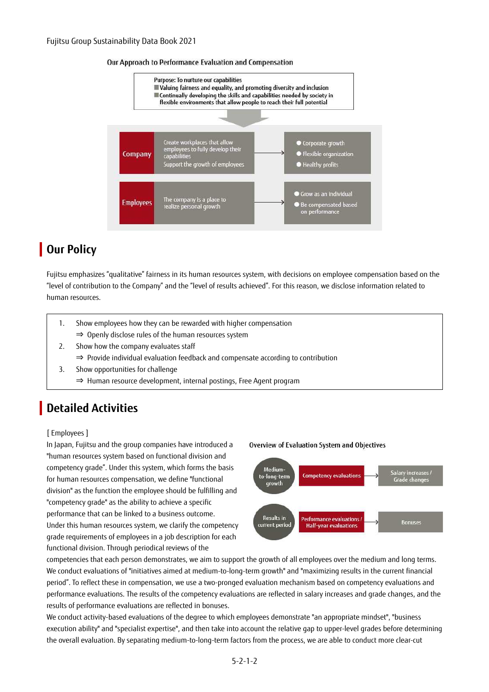



## **Dur Policy**

Fujitsu emphasizes "qualitative" fairness in its human resources system, with decisions on employee compensation based on the "level of contribution to the Company" and the "level of results achieved". For this reason, we disclose information related to human resources.

- 1. Show employees how they can be rewarded with higher compensation ⇒ Openly disclose rules of the human resources system
- 2. Show how the company evaluates staff
	- ⇒ Provide individual evaluation feedback and compensate according to contribution
- 3. Show opportunities for challenge
	- ⇒ Human resource development, internal postings, Free Agent program

## **Detailed Activities**

#### [ Employees ]

In Japan, Fujitsu and the group companies have introduced a "human resources system based on functional division and competency grade". Under this system, which forms the basis for human resources compensation, we define "functional division" as the function the employee should be fulfilling and "competency grade" as the ability to achieve a specific performance that can be linked to a business outcome. Under this human resources system, we clarify the competency grade requirements of employees in a job description for each functional division. Through periodical reviews of the



Overview of Evaluation System and Objectives

competencies that each person demonstrates, we aim to support the growth of all employees over the medium and long terms. We conduct evaluations of "initiatives aimed at medium-to-long-term growth" and "maximizing results in the current financial period". To reflect these in compensation, we use a two-pronged evaluation mechanism based on competency evaluations and performance evaluations. The results of the competency evaluations are reflected in salary increases and grade changes, and the results of performance evaluations are reflected in bonuses.

We conduct activity-based evaluations of the degree to which employees demonstrate "an appropriate mindset", "business execution ability" and "specialist expertise", and then take into account the relative gap to upper-level grades before determining the overall evaluation. By separating medium-to-long-term factors from the process, we are able to conduct more clear-cut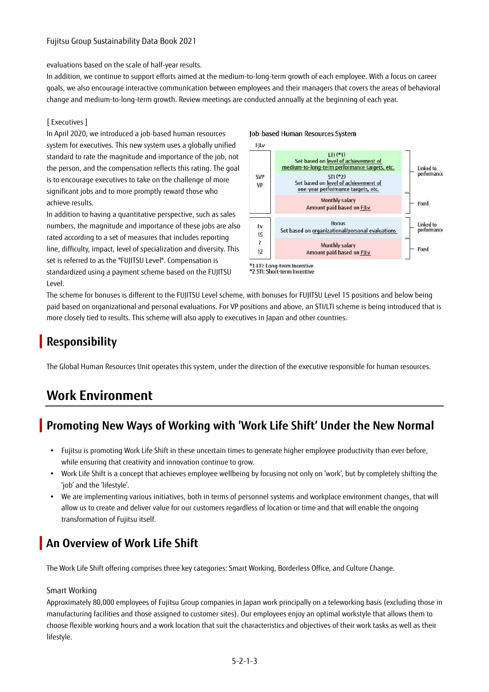#### Fujitsu Group Sustainability Data Book 2021

evaluations based on the scale of half-year results.

In addition, we continue to support efforts aimed at the medium-to-long-term growth of each employee. With a focus on career goals, we also encourage interactive communication between employees and their managers that covers the areas of behavioral change and medium-to-long-term growth. Review meetings are conducted annually at the beginning of each year.

#### [ Executives ]

In April 2020, we introduced a job-based human resources system for executives. This new system uses a globally unified standard to rate the magnitude and importance of the job, not the person, and the compensation reflects this rating. The goal is to encourage executives to take on the challenge of more significant jobs and to more promptly reward those who achieve results.

In addition to having a quantitative perspective, such as sales numbers, the magnitude and importance of these jobs are also rated according to a set of measures that includes reporting line, difficulty, impact, level of specialization and diversity. This set is referred to as the "FUJITSU Level". Compensation is standardized using a payment scheme based on the FUJITSU Level.

#### Job-based Human Resources System





The scheme for bonuses is different to the FUJITSU Level scheme, with bonuses for FUJITSU Level 15 positions and below being paid based on organizational and personal evaluations. For VP positions and above, an STI/LTI scheme is being introduced that is more closely tied to results. This scheme will also apply to executives in Japan and other countries.

## **Responsibility**

The Global Human Resources Unit operates this system, under the direction of the executive responsible for human resources.

## **Work Environment**

## **Promoting New Ways of Working with 'Work Life Shift' Under the New Normal**

- Fujitsu is promoting Work Life Shift in these uncertain times to generate higher employee productivity than ever before, while ensuring that creativity and innovation continue to grow.
- Work Life Shift is a concept that achieves employee wellbeing by focusing not only on 'work', but by completely shifting the 'job' and the 'lifestyle'.
- We are implementing various initiatives, both in terms of personnel systems and workplace environment changes, that will allow us to create and deliver value for our customers regardless of location or time and that will enable the ongoing transformation of Fujitsu itself.

## **An Overview of Work Life Shift**

The Work Life Shift offering comprises three key categories: Smart Working, Borderless Office, and Culture Change.

#### Smart Working

Approximately 80,000 employees of Fujitsu Group companies in Japan work principally on a teleworking basis (excluding those in manufacturing facilities and those assigned to customer sites). Our employees enjoy an optimal workstyle that allows them to choose flexible working hours and a work location that suit the characteristics and objectives of their work tasks as well as their lifestyle.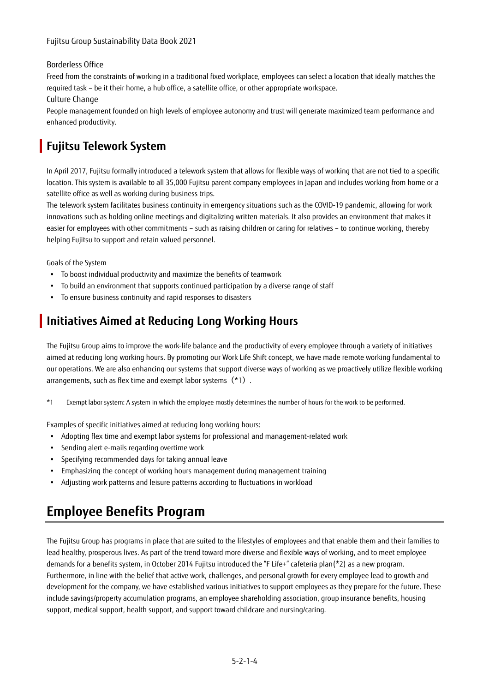#### Borderless Office

Freed from the constraints of working in a traditional fixed workplace, employees can select a location that ideally matches the required task – be it their home, a hub office, a satellite office, or other appropriate workspace.

#### Culture Change

People management founded on high levels of employee autonomy and trust will generate maximized team performance and enhanced productivity.

### **Fujitsu Telework System**

In April 2017, Fujitsu formally introduced a telework system that allows for flexible ways of working that are not tied to a specific location. This system is available to all 35,000 Fujitsu parent company employees in Japan and includes working from home or a satellite office as well as working during business trips.

The telework system facilitates business continuity in emergency situations such as the COVID-19 pandemic, allowing for work innovations such as holding online meetings and digitalizing written materials. It also provides an environment that makes it easier for employees with other commitments – such as raising children or caring for relatives – to continue working, thereby helping Fujitsu to support and retain valued personnel.

Goals of the System

- To boost individual productivity and maximize the benefits of teamwork
- To build an environment that supports continued participation by a diverse range of staff
- To ensure business continuity and rapid responses to disasters

### **Initiatives Aimed at Reducing Long Working Hours**

The Fujitsu Group aims to improve the work-life balance and the productivity of every employee through a variety of initiatives aimed at reducing long working hours. By promoting our Work Life Shift concept, we have made remote working fundamental to our operations. We are also enhancing our systems that support diverse ways of working as we proactively utilize flexible working arrangements, such as flex time and exempt labor systems(\*1).

\*1 Exempt labor system: A system in which the employee mostly determines the number of hours for the work to be performed.

Examples of specific initiatives aimed at reducing long working hours:

- Adopting flex time and exempt labor systems for professional and management-related work
- Sending alert e-mails regarding overtime work
- Specifying recommended days for taking annual leave
- Emphasizing the concept of working hours management during management training
- Adjusting work patterns and leisure patterns according to fluctuations in workload

## **Employee Benefits Program**

The Fujitsu Group has programs in place that are suited to the lifestyles of employees and that enable them and their families to lead healthy, prosperous lives. As part of the trend toward more diverse and flexible ways of working, and to meet employee demands for a benefits system, in October 2014 Fujitsu introduced the "F Life+" cafeteria plan(\*2) as a new program. Furthermore, in line with the belief that active work, challenges, and personal growth for every employee lead to growth and development for the company, we have established various initiatives to support employees as they prepare for the future. These include savings/property accumulation programs, an employee shareholding association, group insurance benefits, housing support, medical support, health support, and support toward childcare and nursing/caring.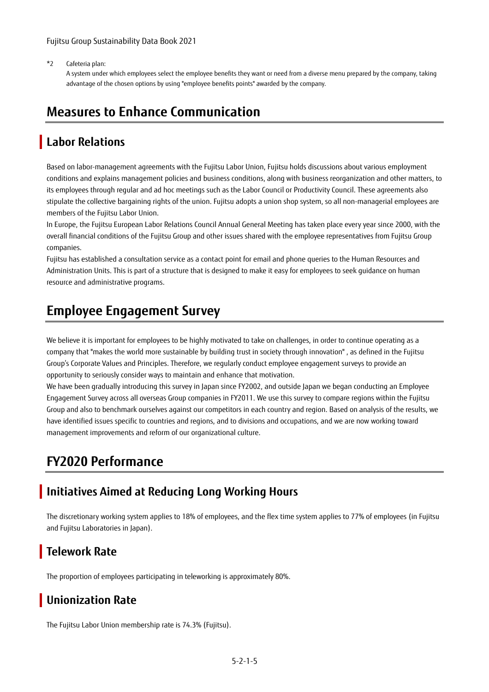\*2 Cafeteria plan:

A system under which employees select the employee benefits they want or need from a diverse menu prepared by the company, taking advantage of the chosen options by using "employee benefits points" awarded by the company.

### **Measures to Enhance Communication**

### **Labor Relations**

Based on labor-management agreements with the Fujitsu Labor Union, Fujitsu holds discussions about various employment conditions and explains management policies and business conditions, along with business reorganization and other matters, to its employees through regular and ad hoc meetings such as the Labor Council or Productivity Council. These agreements also stipulate the collective bargaining rights of the union. Fujitsu adopts a union shop system, so all non-managerial employees are members of the Fujitsu Labor Union.

In Europe, the Fujitsu European Labor Relations Council Annual General Meeting has taken place every year since 2000, with the overall financial conditions of the Fujitsu Group and other issues shared with the employee representatives from Fujitsu Group companies.

Fujitsu has established a consultation service as a contact point for email and phone queries to the Human Resources and Administration Units. This is part of a structure that is designed to make it easy for employees to seek guidance on human resource and administrative programs.

## **Employee Engagement Survey**

We believe it is important for employees to be highly motivated to take on challenges, in order to continue operating as a company that "makes the world more sustainable by building trust in society through innovation" , as defined in the Fujitsu Group's Corporate Values and Principles. Therefore, we regularly conduct employee engagement surveys to provide an opportunity to seriously consider ways to maintain and enhance that motivation.

We have been gradually introducing this survey in Japan since FY2002, and outside Japan we began conducting an Employee Engagement Survey across all overseas Group companies in FY2011. We use this survey to compare regions within the Fujitsu Group and also to benchmark ourselves against our competitors in each country and region. Based on analysis of the results, we have identified issues specific to countries and regions, and to divisions and occupations, and we are now working toward management improvements and reform of our organizational culture.

## **FY2020 Performance**

### **Initiatives Aimed at Reducing Long Working Hours**

The discretionary working system applies to 18% of employees, and the flex time system applies to 77% of employees (in Fujitsu and Fujitsu Laboratories in Japan).

### **Telework Rate**

The proportion of employees participating in teleworking is approximately 80%.

## **Unionization Rate**

The Fujitsu Labor Union membership rate is 74.3% (Fujitsu).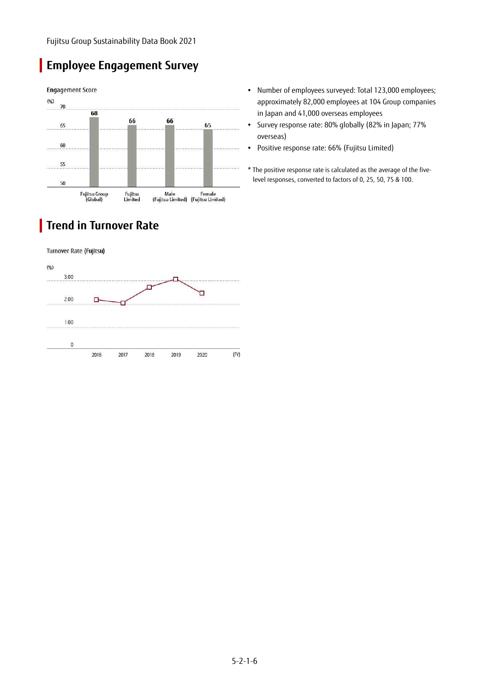## **Employee Engagement Survey**



## **Trend in Turnover Rate**

Turnover Rate (Fujitsu)



- Number of employees surveyed: Total 123,000 employees; approximately 82,000 employees at 104 Group companies in Japan and 41,000 overseas employees
- Survey response rate: 80% globally (82% in Japan; 77% overseas)
- Positive response rate: 66% (Fujitsu Limited)
- \* The positive response rate is calculated as the average of the fivelevel responses, converted to factors of 0, 25, 50, 75 & 100.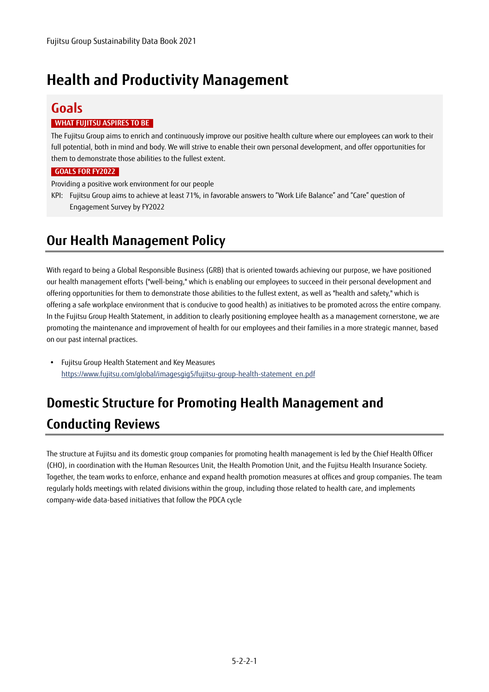# **Health and Productivity Management**

## **Goals**

#### **WHAT FUJITSU ASPIRES TO BE**

The Fujitsu Group aims to enrich and continuously improve our positive health culture where our employees can work to their full potential, both in mind and body. We will strive to enable their own personal development, and offer opportunities for them to demonstrate those abilities to the fullest extent.

#### **GOALS FOR FY2022**

Providing a positive work environment for our people

KPI: Fujitsu Group aims to achieve at least 71%, in favorable answers to "Work Life Balance" and "Care" question of Engagement Survey by FY2022

## **Our Health Management Policy**

With regard to being a Global Responsible Business (GRB) that is oriented towards achieving our purpose, we have positioned our health management efforts ("well-being," which is enabling our employees to succeed in their personal development and offering opportunities for them to demonstrate those abilities to the fullest extent, as well as "health and safety," which is offering a safe workplace environment that is conducive to good health) as initiatives to be promoted across the entire company. In the Fujitsu Group Health Statement, in addition to clearly positioning employee health as a management cornerstone, we are promoting the maintenance and improvement of health for our employees and their families in a more strategic manner, based on our past internal practices.

 Fujitsu Group Health Statement and Key Measures https://www.fujitsu.com/global/imagesgig5/fujitsu-group-health-statement\_en.pdf

# **Domestic Structure for Promoting Health Management and Conducting Reviews**

The structure at Fujitsu and its domestic group companies for promoting health management is led by the Chief Health Officer (CHO), in coordination with the Human Resources Unit, the Health Promotion Unit, and the Fujitsu Health Insurance Society. Together, the team works to enforce, enhance and expand health promotion measures at offices and group companies. The team regularly holds meetings with related divisions within the group, including those related to health care, and implements company-wide data-based initiatives that follow the PDCA cycle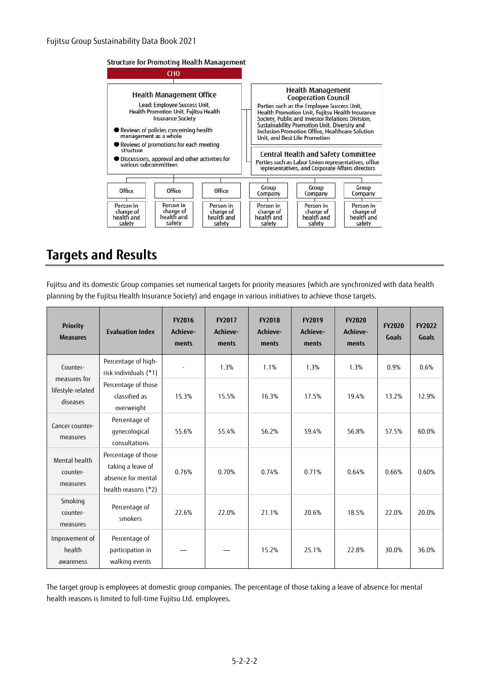#### Structure for Promoting Health Management



### **Targets and Results**

Fujitsu and its domestic Group companies set numerical targets for priority measures (which are synchronized with data health planning by the Fujitsu Health Insurance Society) and engage in various initiatives to achieve those targets.

| <b>Priority</b><br><b>Measures</b>                        | <b>Evaluation Index</b>                                                               | <b>FY2016</b><br>Achieve-<br>ments | <b>FY2017</b><br>Achieve-<br>ments | <b>FY2018</b><br>Achieve-<br>ments | FY2019<br>Achieve-<br>ments | <b>FY2020</b><br>Achieve-<br>ments | <b>FY2020</b><br>Goals | <b>FY2022</b><br>Goals |
|-----------------------------------------------------------|---------------------------------------------------------------------------------------|------------------------------------|------------------------------------|------------------------------------|-----------------------------|------------------------------------|------------------------|------------------------|
| Counter-<br>measures for<br>lifestyle-related<br>diseases | Percentage of high-<br>risk individuals (*1)                                          |                                    | 1.3%                               | 1.1%                               | 1.3%                        | 1.3%                               | 0.9%                   | 0.6%                   |
|                                                           | Percentage of those<br>classified as<br>overweight                                    | 15.3%                              | 15.5%                              | 16.3%                              | 17.5%                       | 19.4%                              | 13.2%                  | 12.9%                  |
| Cancer counter-<br>measures                               | Percentage of<br>gynecological<br>consultations                                       | 55.6%                              | 55.4%                              | 56.2%                              | 59.4%                       | 56.8%                              | 57.5%                  | 60.0%                  |
| Mental health<br>counter-<br>measures                     | Percentage of those<br>taking a leave of<br>absence for mental<br>health reasons (*2) | 0.76%                              | 0.70%                              | 0.74%                              | 0.71%                       | 0.64%                              | 0.66%                  | 0.60%                  |
| Smoking<br>counter-<br>measures                           | Percentage of<br>smokers                                                              | 22.6%                              | 22.0%                              | 21.1%                              | 20.6%                       | 18.5%                              | 22.0%                  | 20.0%                  |
| Improvement of<br>health<br>awareness                     | Percentage of<br>participation in<br>walking events                                   |                                    |                                    | 15.2%                              | 25.1%                       | 22.8%                              | 30.0%                  | 36.0%                  |

The target group is employees at domestic group companies. The percentage of those taking a leave of absence for mental health reasons is limited to full-time Fujitsu Ltd. employees.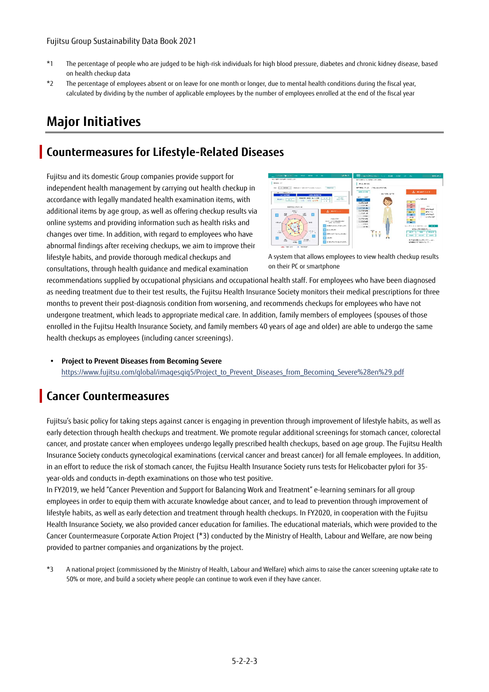- \*1 The percentage of people who are judged to be high-risk individuals for high blood pressure, diabetes and chronic kidney disease, based on health checkup data
- \*2 The percentage of employees absent or on leave for one month or longer, due to mental health conditions during the fiscal year, calculated by dividing by the number of applicable employees by the number of employees enrolled at the end of the fiscal year

## **Major Initiatives**

### **Countermeasures for Lifestyle-Related Diseases**

Fujitsu and its domestic Group companies provide support for independent health management by carrying out health checkup in accordance with legally mandated health examination items, with additional items by age group, as well as offering checkup results via online systems and providing information such as health risks and changes over time. In addition, with regard to employees who have abnormal findings after receiving checkups, we aim to improve their lifestyle habits, and provide thorough medical checkups and consultations, through health guidance and medical examination



A system that allows employees to view health checkup results on their PC or smartphone

recommendations supplied by occupational physicians and occupational health staff. For employees who have been diagnosed as needing treatment due to their test results, the Fujitsu Health Insurance Society monitors their medical prescriptions for three months to prevent their post-diagnosis condition from worsening, and recommends checkups for employees who have not undergone treatment, which leads to appropriate medical care. In addition, family members of employees (spouses of those enrolled in the Fujitsu Health Insurance Society, and family members 40 years of age and older) are able to undergo the same health checkups as employees (including cancer screenings).

 **Project to Prevent Diseases from Becoming Severe**  https://www.fujitsu.com/global/imagesgig5/Project\_to\_Prevent\_Diseases\_from\_Becoming\_Severe%28en%29.pdf

### **Cancer Countermeasures**

Fujitsu's basic policy for taking steps against cancer is engaging in prevention through improvement of lifestyle habits, as well as early detection through health checkups and treatment. We promote regular additional screenings for stomach cancer, colorectal cancer, and prostate cancer when employees undergo legally prescribed health checkups, based on age group. The Fujitsu Health Insurance Society conducts gynecological examinations (cervical cancer and breast cancer) for all female employees. In addition, in an effort to reduce the risk of stomach cancer, the Fujitsu Health Insurance Society runs tests for Helicobacter pylori for 35 year-olds and conducts in-depth examinations on those who test positive.

In FY2019, we held "Cancer Prevention and Support for Balancing Work and Treatment" e-learning seminars for all group employees in order to equip them with accurate knowledge about cancer, and to lead to prevention through improvement of lifestyle habits, as well as early detection and treatment through health checkups. In FY2020, in cooperation with the Fujitsu Health Insurance Society, we also provided cancer education for families. The educational materials, which were provided to the Cancer Countermeasure Corporate Action Project (\*3) conducted by the Ministry of Health, Labour and Welfare, are now being provided to partner companies and organizations by the project.

\*3 A national project (commissioned by the Ministry of Health, Labour and Welfare) which aims to raise the cancer screening uptake rate to 50% or more, and build a society where people can continue to work even if they have cancer.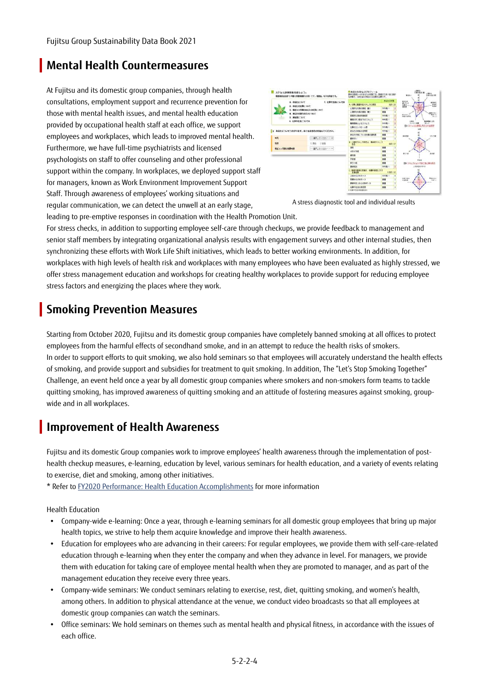### **Mental Health Countermeasures**

At Fujitsu and its domestic group companies, through health consultations, employment support and recurrence prevention for those with mental health issues, and mental health education provided by occupational health staff at each office, we support employees and workplaces, which leads to improved mental health. Furthermore, we have full-time psychiatrists and licensed psychologists on staff to offer counseling and other professional support within the company. In workplaces, we deployed support staff for managers, known as Work Environment Improvement Support Staff. Through awareness of employees' working situations and regular communication, we can detect the unwell at an early stage,

| ストレス治療を拡めましょう。                   | 我国国际过去部で79個《所有機関的19例》です。新聞は、当下の内容です。 | ああるのはトレスプロフィール<br>数やに数値2~100あなたの状態です。数値がたかい場と備証<br>2008年、日本社区公式商店门口发展社区新产业。 |                |
|----------------------------------|--------------------------------------|-----------------------------------------------------------------------------|----------------|
| 1. <b>ANDERST</b>                | たけ時間は高いのけれ                           |                                                                             | <b>MANZINE</b> |
| 2. BELOCE SALE                   |                                      | 8. 任务に就建するストに3と増位                                                           | AD : X3        |
|                                  | 3. 電話3分別職のあけたの状態について                 | と理的な分集の構成 確定                                                                | <b>RASELY</b>  |
| 4. MENDENHALL-WAT                |                                      | 2週間の公園の構成 (数)                                                               | <b>HA</b>      |
| <b>3. BEEL MILE</b>              |                                      | <b>BRIDGE-MOTORIST</b>                                                      | minidi, c      |
| A. ABRIEDUCA                     |                                      | ●横点的人場は下が注射しま                                                               | <b>MAIL</b>    |
|                                  |                                      | 無理構築とよる注入した                                                                 | <b>RASEL</b>   |
|                                  |                                      | ※義の性なるのーは増                                                                  | 高田園に           |
| ■ 新型を応ういとうかがいます。おすはまるものを届んでください。 |                                      | 新型制作曲面方面增置                                                                  | mmg.1          |
|                                  |                                      | あなたがありているの様の遺伝症                                                             |                |
| mat.                             | 一番利してくだれにいま                          | 最新的に                                                                        | 88             |
| <b>HOW</b>                       | ORE OWN                              | ■ 心理的言葉に加盟者は、義事的にもしま                                                        |                |
| <b>NIC 1-FIRCARAIN</b>           | 書きしてください ーマ                          | 推理                                                                          | 開業             |
|                                  |                                      | 对地对地面                                                                       | 18.99          |
|                                  |                                      | genes.                                                                      | $\overline{a}$ |
|                                  |                                      | 言前框                                                                         |                |
|                                  |                                      | <b>Dhns</b>                                                                 | 68             |
|                                  |                                      | 第20113                                                                      | <b>MARCH</b>   |
|                                  |                                      | ことはのま地に世話を、仕事の本語に対す<br>石制字体                                                 | 文庫数と加          |
|                                  |                                      | FENADRIC-3                                                                  | com.           |
|                                  |                                      | 首都の山かは近っと                                                                   |                |
|                                  |                                      | 新規所定上がら出発が広いた                                                               | 68             |
|                                  |                                      | 外部の空気の実習室<br>11 经审计代表价格应整和条件                                                |                |

A stress diagnostic tool and individual results

leading to pre-emptive responses in coordination with the Health Promotion Unit.

For stress checks, in addition to supporting employee self-care through checkups, we provide feedback to management and senior staff members by integrating organizational analysis results with engagement surveys and other internal studies, then synchronizing these efforts with Work Life Shift initiatives, which leads to better working environments. In addition, for workplaces with high levels of health risk and workplaces with many employees who have been evaluated as highly stressed, we offer stress management education and workshops for creating healthy workplaces to provide support for reducing employee stress factors and energizing the places where they work.

### **Smoking Prevention Measures**

Starting from October 2020, Fujitsu and its domestic group companies have completely banned smoking at all offices to protect employees from the harmful effects of secondhand smoke, and in an attempt to reduce the health risks of smokers. In order to support efforts to quit smoking, we also hold seminars so that employees will accurately understand the health effects of smoking, and provide support and subsidies for treatment to quit smoking. In addition, The "Let's Stop Smoking Together" Challenge, an event held once a year by all domestic group companies where smokers and non-smokers form teams to tackle quitting smoking, has improved awareness of quitting smoking and an attitude of fostering measures against smoking, groupwide and in all workplaces.

### **Improvement of Health Awareness**

Fujitsu and its domestic Group companies work to improve employees' health awareness through the implementation of posthealth checkup measures, e-learning, education by level, various seminars for health education, and a variety of events relating to exercise, diet and smoking, among other initiatives.

\* Refer t[o FY2020 Performance: Health Education Accomplishments](https://www.fujitsu.com/global/about/csr/employees/health/#education) for more information

Health Education

- Company-wide e-learning: Once a year, through e-learning seminars for all domestic group employees that bring up major health topics, we strive to help them acquire knowledge and improve their health awareness.
- Education for employees who are advancing in their careers: For regular employees, we provide them with self-care-related education through e-learning when they enter the company and when they advance in level. For managers, we provide them with education for taking care of employee mental health when they are promoted to manager, and as part of the management education they receive every three years.
- Company-wide seminars: We conduct seminars relating to exercise, rest, diet, quitting smoking, and women's health, among others. In addition to physical attendance at the venue, we conduct video broadcasts so that all employees at domestic group companies can watch the seminars.
- Office seminars: We hold seminars on themes such as mental health and physical fitness, in accordance with the issues of each office.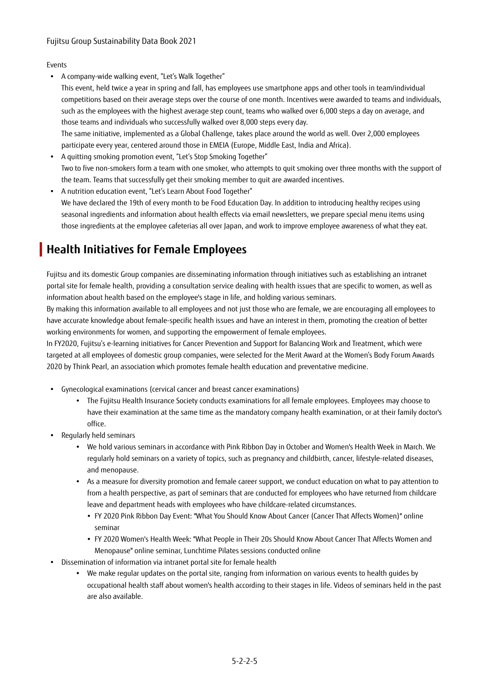#### Events

- A company-wide walking event, "Let's Walk Together"
- This event, held twice a year in spring and fall, has employees use smartphone apps and other tools in team/individual competitions based on their average steps over the course of one month. Incentives were awarded to teams and individuals, such as the employees with the highest average step count, teams who walked over 6,000 steps a day on average, and those teams and individuals who successfully walked over 8,000 steps every day. The same initiative, implemented as a Global Challenge, takes place around the world as well. Over 2,000 employees
- participate every year, centered around those in EMEIA (Europe, Middle East, India and Africa). A quitting smoking promotion event, "Let's Stop Smoking Together" Two to five non-smokers form a team with one smoker, who attempts to quit smoking over three months with the support of the team. Teams that successfully get their smoking member to quit are awarded incentives.
- A nutrition education event, "Let's Learn About Food Together" We have declared the 19th of every month to be Food Education Day. In addition to introducing healthy recipes using seasonal ingredients and information about health effects via email newsletters, we prepare special menu items using those ingredients at the employee cafeterias all over Japan, and work to improve employee awareness of what they eat.

## **Health Initiatives for Female Employees**

Fujitsu and its domestic Group companies are disseminating information through initiatives such as establishing an intranet portal site for female health, providing a consultation service dealing with health issues that are specific to women, as well as information about health based on the employee's stage in life, and holding various seminars.

By making this information available to all employees and not just those who are female, we are encouraging all employees to have accurate knowledge about female-specific health issues and have an interest in them, promoting the creation of better working environments for women, and supporting the empowerment of female employees.

In FY2020, Fujitsu's e-learning initiatives for Cancer Prevention and Support for Balancing Work and Treatment, which were targeted at all employees of domestic group companies, were selected for the Merit Award at the Women's Body Forum Awards 2020 by Think Pearl, an association which promotes female health education and preventative medicine.

- Gynecological examinations (cervical cancer and breast cancer examinations)
	- The Fujitsu Health Insurance Society conducts examinations for all female employees. Employees may choose to have their examination at the same time as the mandatory company health examination, or at their family doctor's office.
- Regularly held seminars
	- We hold various seminars in accordance with Pink Ribbon Day in October and Women's Health Week in March. We regularly hold seminars on a variety of topics, such as pregnancy and childbirth, cancer, lifestyle-related diseases, and menopause.
	- As a measure for diversity promotion and female career support, we conduct education on what to pay attention to from a health perspective, as part of seminars that are conducted for employees who have returned from childcare leave and department heads with employees who have childcare-related circumstances.
		- FY 2020 Pink Ribbon Day Event: "What You Should Know About Cancer (Cancer That Affects Women)" online seminar
		- FY 2020 Women's Health Week: "What People in Their 20s Should Know About Cancer That Affects Women and Menopause" online seminar, Lunchtime Pilates sessions conducted online
- Dissemination of information via intranet portal site for female health
	- We make regular updates on the portal site, ranging from information on various events to health guides by occupational health staff about women's health according to their stages in life. Videos of seminars held in the past are also available.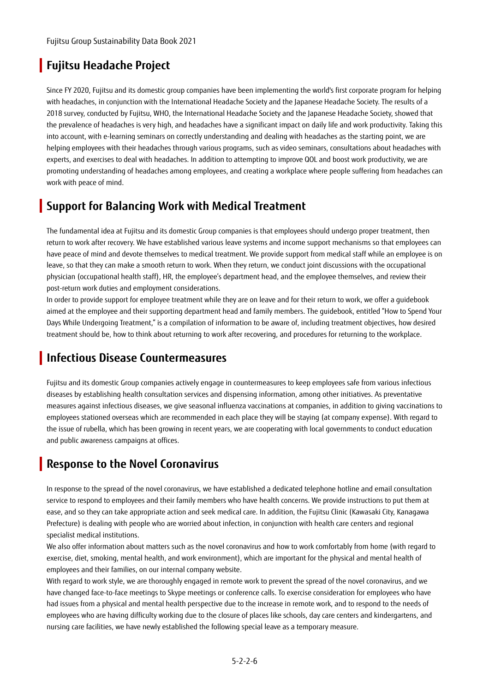### **Fujitsu Headache Project**

Since FY 2020, Fujitsu and its domestic group companies have been implementing the world's first corporate program for helping with headaches, in conjunction with the International Headache Society and the Japanese Headache Society. The results of a 2018 survey, conducted by Fujitsu, WHO, the International Headache Society and the Japanese Headache Society, showed that the prevalence of headaches is very high, and headaches have a significant impact on daily life and work productivity. Taking this into account, with e-learning seminars on correctly understanding and dealing with headaches as the starting point, we are helping employees with their headaches through various programs, such as video seminars, consultations about headaches with experts, and exercises to deal with headaches. In addition to attempting to improve QOL and boost work productivity, we are promoting understanding of headaches among employees, and creating a workplace where people suffering from headaches can work with peace of mind.

### **Support for Balancing Work with Medical Treatment**

The fundamental idea at Fujitsu and its domestic Group companies is that employees should undergo proper treatment, then return to work after recovery. We have established various leave systems and income support mechanisms so that employees can have peace of mind and devote themselves to medical treatment. We provide support from medical staff while an employee is on leave, so that they can make a smooth return to work. When they return, we conduct joint discussions with the occupational physician (occupational health staff), HR, the employee's department head, and the employee themselves, and review their post-return work duties and employment considerations.

In order to provide support for employee treatment while they are on leave and for their return to work, we offer a guidebook aimed at the employee and their supporting department head and family members. The guidebook, entitled "How to Spend Your Days While Undergoing Treatment," is a compilation of information to be aware of, including treatment objectives, how desired treatment should be, how to think about returning to work after recovering, and procedures for returning to the workplace.

### **Infectious Disease Countermeasures**

Fujitsu and its domestic Group companies actively engage in countermeasures to keep employees safe from various infectious diseases by establishing health consultation services and dispensing information, among other initiatives. As preventative measures against infectious diseases, we give seasonal influenza vaccinations at companies, in addition to giving vaccinations to employees stationed overseas which are recommended in each place they will be staying (at company expense). With regard to the issue of rubella, which has been growing in recent years, we are cooperating with local governments to conduct education and public awareness campaigns at offices.

## **Response to the Novel Coronavirus**

In response to the spread of the novel coronavirus, we have established a dedicated telephone hotline and email consultation service to respond to employees and their family members who have health concerns. We provide instructions to put them at ease, and so they can take appropriate action and seek medical care. In addition, the Fujitsu Clinic (Kawasaki City, Kanagawa Prefecture) is dealing with people who are worried about infection, in conjunction with health care centers and regional specialist medical institutions.

We also offer information about matters such as the novel coronavirus and how to work comfortably from home (with regard to exercise, diet, smoking, mental health, and work environment), which are important for the physical and mental health of employees and their families, on our internal company website.

With regard to work style, we are thoroughly engaged in remote work to prevent the spread of the novel coronavirus, and we have changed face-to-face meetings to Skype meetings or conference calls. To exercise consideration for employees who have had issues from a physical and mental health perspective due to the increase in remote work, and to respond to the needs of employees who are having difficulty working due to the closure of places like schools, day care centers and kindergartens, and nursing care facilities, we have newly established the following special leave as a temporary measure.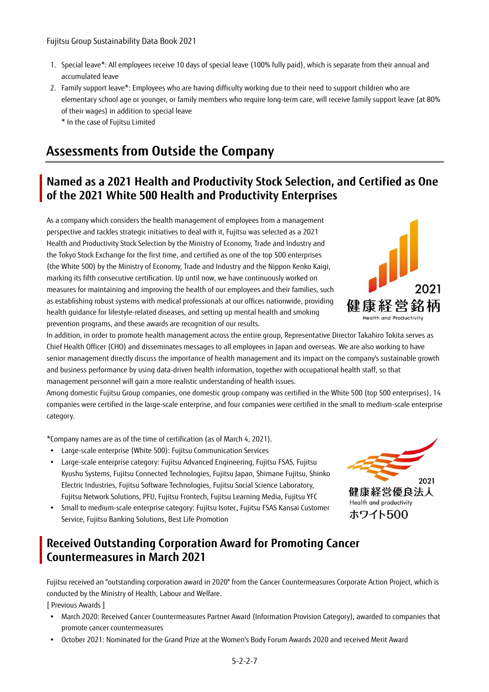- 1. Special leave\*: All employees receive 10 days of special leave (100% fully paid), which is separate from their annual and accumulated leave
- 2. Family support leave\*: Employees who are having difficulty working due to their need to support children who are elementary school age or younger, or family members who require long-term care, will receive family support leave (at 80% of their wages) in addition to special leave

\* In the case of Fujitsu Limited

## **Assessments from Outside the Company**

### **Named as a 2021 Health and Productivity Stock Selection, and Certified as One of the 2021 White 500 Health and Productivity Enterprises**

As a company which considers the health management of employees from a management perspective and tackles strategic initiatives to deal with it, Fujitsu was selected as a 2021 Health and Productivity Stock Selection by the Ministry of Economy, Trade and Industry and the Tokyo Stock Exchange for the first time, and certified as one of the top 500 enterprises (the White 500) by the Ministry of Economy, Trade and Industry and the Nippon Kenko Kaigi, marking its fifth consecutive certification. Up until now, we have continuously worked on measures for maintaining and improving the health of our employees and their families, such as establishing robust systems with medical professionals at our offices nationwide, providing health guidance for lifestyle-related diseases, and setting up mental health and smoking prevention programs, and these awards are recognition of our results.

In addition, in order to promote health management across the entire group, Representative Director Takahiro Tokita serves as Chief Health Officer (CHO) and disseminates messages to all employees in Japan and overseas. We are also working to have senior management directly discuss the importance of health management and its impact on the company's sustainable growth and business performance by using data-driven health information, together with occupational health staff, so that management personnel will gain a more realistic understanding of health issues.

Among domestic Fujitsu Group companies, one domestic group company was certified in the White 500 (top 500 enterprises), 14 companies were certified in the large-scale enterprise, and four companies were certified in the small to medium-scale enterprise category.

\*Company names are as of the time of certification (as of March 4, 2021).

- Large-scale enterprise (White 500): Fujitsu Communication Services
- Large-scale enterprise category: Fujitsu Advanced Engineering, Fujitsu FSAS, Fujitsu Kyushu Systems, Fujitsu Connected Technologies, Fujitsu Japan, Shimane Fujitsu, Shinko Electric Industries, Fujitsu Software Technologies, Fujitsu Social Science Laboratory, Fujitsu Network Solutions, PFU, Fujitsu Frontech, Fujitsu Learning Media, Fujitsu YFC
- Small to medium-scale enterprise category: Fujitsu Isotec, Fujitsu FSAS Kansai Customer Service, Fujitsu Banking Solutions, Best Life Promotion

### **Received Outstanding Corporation Award for Promoting Cancer Countermeasures in March 2021**

Fujitsu received an "outstanding corporation award in 2020" from the Cancer Countermeasures Corporate Action Project, which is conducted by the Ministry of Health, Labour and Welfare.

[ Previous Awards ]

- March 2020: Received Cancer Countermeasures Partner Award (Information Provision Category), awarded to companies that promote cancer countermeasures
- October 2021: Nominated for the Grand Prize at the Women's Body Forum Awards 2020 and received Merit Award



Health and productivity ホワイト500

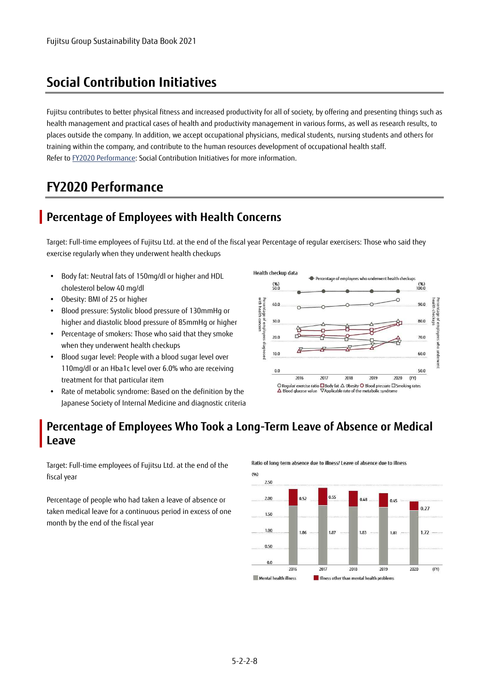## **Social Contribution Initiatives**

Fujitsu contributes to better physical fitness and increased productivity for all of society, by offering and presenting things such as health management and practical cases of health and productivity management in various forms, as well as research results, to places outside the company. In addition, we accept occupational physicians, medical students, nursing students and others for training within the company, and contribute to the human resources development of occupational health staff. Refer t[o FY2020 Performance:](https://www.fujitsu.com/global/about/csr/employees/health/#social) Social Contribution Initiatives for more information.

## **FY2020 Performance**

### **Percentage of Employees with Health Concerns**

Target: Full-time employees of Fujitsu Ltd. at the end of the fiscal year Percentage of regular exercisers: Those who said they exercise regularly when they underwent health checkups

- Body fat: Neutral fats of 150mg/dl or higher and HDL cholesterol below 40 mg/dl
- Obesity: BMI of 25 or higher
- Blood pressure: Systolic blood pressure of 130mmHg or higher and diastolic blood pressure of 85mmHg or higher
- Percentage of smokers: Those who said that they smoke when they underwent health checkups
- Blood sugar level: People with a blood sugar level over 110mg/dl or an Hba1c level over 6.0% who are receiving treatment for that particular item
- Rate of metabolic syndrome: Based on the definition by the Japanese Society of Internal Medicine and diagnostic criteria



#### **Percentage of Employees Who Took a Long-Term Leave of Absence or Medical Leave**

Target: Full-time employees of Fujitsu Ltd. at the end of the fiscal year

Percentage of people who had taken a leave of absence or taken medical leave for a continuous period in excess of one month by the end of the fiscal year

Ratio of long-term absence due to illness/ Leave of absence due to illness

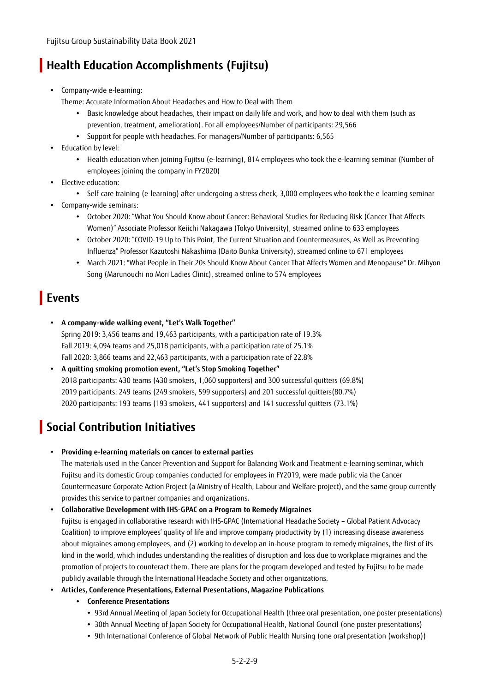## **Health Education Accomplishments (Fujitsu)**

- Company-wide e-learning:
	- Theme: Accurate Information About Headaches and How to Deal with Them
		- Basic knowledge about headaches, their impact on daily life and work, and how to deal with them (such as prevention, treatment, amelioration). For all employees/Number of participants: 29,566
		- Support for people with headaches. For managers/Number of participants: 6,565
- Education by level:
	- Health education when joining Fujitsu (e-learning), 814 employees who took the e-learning seminar (Number of employees joining the company in FY2020)
- Elective education:
	- Self-care training (e-learning) after undergoing a stress check, 3,000 employees who took the e-learning seminar
- Company-wide seminars:
	- October 2020: "What You Should Know about Cancer: Behavioral Studies for Reducing Risk (Cancer That Affects Women)" Associate Professor Keiichi Nakagawa (Tokyo University), streamed online to 633 employees
	- October 2020: "COVID-19 Up to This Point, The Current Situation and Countermeasures, As Well as Preventing Influenza" Professor Kazutoshi Nakashima (Daito Bunka University), streamed online to 671 employees
	- March 2021: "What People in Their 20s Should Know About Cancer That Affects Women and Menopause" Dr. Mihyon Song (Marunouchi no Mori Ladies Clinic), streamed online to 574 employees

### **Events**

- **A company-wide walking event, "Let's Walk Together"**  Spring 2019: 3,456 teams and 19,463 participants, with a participation rate of 19.3% Fall 2019: 4,094 teams and 25,018 participants, with a participation rate of 25.1%
- Fall 2020: 3,866 teams and 22,463 participants, with a participation rate of 22.8% **A quitting smoking promotion event, "Let's Stop Smoking Together"**  2018 participants: 430 teams (430 smokers, 1,060 supporters) and 300 successful quitters (69.8%) 2019 participants: 249 teams (249 smokers, 599 supporters) and 201 successful quitters(80.7%)

#### 2020 participants: 193 teams (193 smokers, 441 supporters) and 141 successful quitters (73.1%)

## **Social Contribution Initiatives**

**Providing e-learning materials on cancer to external parties** 

The materials used in the Cancer Prevention and Support for Balancing Work and Treatment e-learning seminar, which Fujitsu and its domestic Group companies conducted for employees in FY2019, were made public via the Cancer Countermeasure Corporate Action Project (a Ministry of Health, Labour and Welfare project), and the same group currently provides this service to partner companies and organizations.

#### **Collaborative Development with IHS-GPAC on a Program to Remedy Migraines**

Fujitsu is engaged in collaborative research with IHS-GPAC (International Headache Society – Global Patient Advocacy Coalition) to improve employees' quality of life and improve company productivity by (1) increasing disease awareness about migraines among employees, and (2) working to develop an in-house program to remedy migraines, the first of its kind in the world, which includes understanding the realities of disruption and loss due to workplace migraines and the promotion of projects to counteract them. There are plans for the program developed and tested by Fujitsu to be made publicly available through the International Headache Society and other organizations.

- **Articles, Conference Presentations, External Presentations, Magazine Publications** 
	- **Conference Presentations** 
		- 93rd Annual Meeting of Japan Society for Occupational Health (three oral presentation, one poster presentations)
		- 30th Annual Meeting of Japan Society for Occupational Health, National Council (one poster presentations)
		- 9th International Conference of Global Network of Public Health Nursing (one oral presentation (workshop))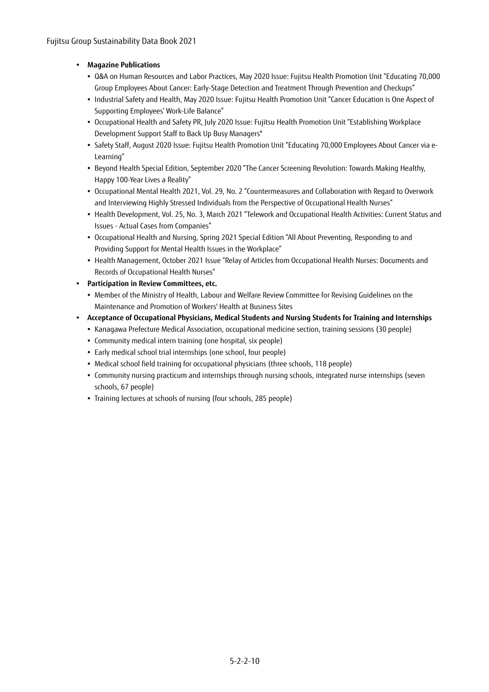#### **Magazine Publications**

- Q&A on Human Resources and Labor Practices, May 2020 Issue: Fujitsu Health Promotion Unit "Educating 70,000 Group Employees About Cancer: Early-Stage Detection and Treatment Through Prevention and Checkups"
- Industrial Safety and Health, May 2020 Issue: Fujitsu Health Promotion Unit "Cancer Education is One Aspect of Supporting Employees' Work-Life Balance"
- Occupational Health and Safety PR, July 2020 Issue: Fujitsu Health Promotion Unit "Establishing Workplace Development Support Staff to Back Up Busy Managers"
- Safety Staff, August 2020 Issue: Fujitsu Health Promotion Unit "Educating 70,000 Employees About Cancer via e-Learning"
- Beyond Health Special Edition, September 2020 "The Cancer Screening Revolution: Towards Making Healthy, Happy 100-Year Lives a Reality"
- Occupational Mental Health 2021, Vol. 29, No. 2 "Countermeasures and Collaboration with Regard to Overwork and Interviewing Highly Stressed Individuals from the Perspective of Occupational Health Nurses"
- Health Development, Vol. 25, No. 3, March 2021 "Telework and Occupational Health Activities: Current Status and Issues - Actual Cases from Companies"
- Occupational Health and Nursing, Spring 2021 Special Edition "All About Preventing, Responding to and Providing Support for Mental Health Issues in the Workplace"
- Health Management, October 2021 Issue "Relay of Articles from Occupational Health Nurses: Documents and Records of Occupational Health Nurses"
- **Participation in Review Committees, etc.** 
	- Member of the Ministry of Health, Labour and Welfare Review Committee for Revising Guidelines on the Maintenance and Promotion of Workers' Health at Business Sites
- **Acceptance of Occupational Physicians, Medical Students and Nursing Students for Training and Internships** 
	- Kanagawa Prefecture Medical Association, occupational medicine section, training sessions (30 people)
	- Community medical intern training (one hospital, six people)
	- Early medical school trial internships (one school, four people)
	- Medical school field training for occupational physicians (three schools, 118 people)
	- Community nursing practicum and internships through nursing schools, integrated nurse internships (seven schools, 67 people)
	- Training lectures at schools of nursing (four schools, 285 people)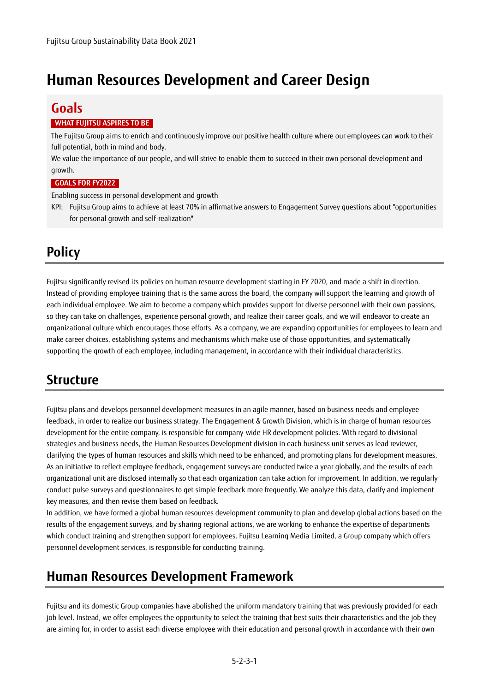# **Human Resources Development and Career Design**

## **Goals**

#### **WHAT FUJITSU ASPIRES TO BE**

The Fujitsu Group aims to enrich and continuously improve our positive health culture where our employees can work to their full potential, both in mind and body.

We value the importance of our people, and will strive to enable them to succeed in their own personal development and growth.

#### **GOALS FOR FY2022**

Enabling success in personal development and growth

KPI: Fujitsu Group aims to achieve at least 70% in affirmative answers to Engagement Survey questions about "opportunities for personal growth and self-realization"

## **Policy**

Fujitsu significantly revised its policies on human resource development starting in FY 2020, and made a shift in direction. Instead of providing employee training that is the same across the board, the company will support the learning and growth of each individual employee. We aim to become a company which provides support for diverse personnel with their own passions, so they can take on challenges, experience personal growth, and realize their career goals, and we will endeavor to create an organizational culture which encourages those efforts. As a company, we are expanding opportunities for employees to learn and make career choices, establishing systems and mechanisms which make use of those opportunities, and systematically supporting the growth of each employee, including management, in accordance with their individual characteristics.

## **Structure**

Fujitsu plans and develops personnel development measures in an agile manner, based on business needs and employee feedback, in order to realize our business strategy. The Engagement & Growth Division, which is in charge of human resources development for the entire company, is responsible for company-wide HR development policies. With regard to divisional strategies and business needs, the Human Resources Development division in each business unit serves as lead reviewer, clarifying the types of human resources and skills which need to be enhanced, and promoting plans for development measures. As an initiative to reflect employee feedback, engagement surveys are conducted twice a year globally, and the results of each organizational unit are disclosed internally so that each organization can take action for improvement. In addition, we regularly conduct pulse surveys and questionnaires to get simple feedback more frequently. We analyze this data, clarify and implement key measures, and then revise them based on feedback.

In addition, we have formed a global human resources development community to plan and develop global actions based on the results of the engagement surveys, and by sharing regional actions, we are working to enhance the expertise of departments which conduct training and strengthen support for employees. Fujitsu Learning Media Limited, a Group company which offers personnel development services, is responsible for conducting training.

## **Human Resources Development Framework**

Fujitsu and its domestic Group companies have abolished the uniform mandatory training that was previously provided for each job level. Instead, we offer employees the opportunity to select the training that best suits their characteristics and the job they are aiming for, in order to assist each diverse employee with their education and personal growth in accordance with their own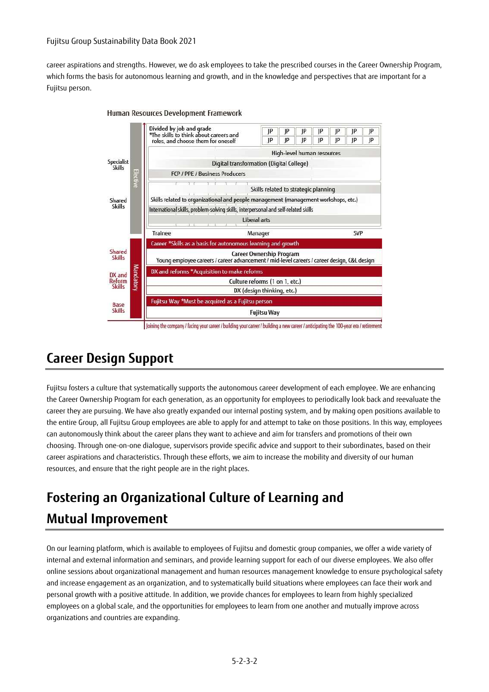#### Fujitsu Group Sustainability Data Book 2021

career aspirations and strengths. However, we do ask employees to take the prescribed courses in the Career Ownership Program, which forms the basis for autonomous learning and growth, and in the knowledge and perspectives that are important for a Fujitsu person.



#### Human Resources Development Framework

### **Career Design Support**

Fujitsu fosters a culture that systematically supports the autonomous career development of each employee. We are enhancing the Career Ownership Program for each generation, as an opportunity for employees to periodically look back and reevaluate the career they are pursuing. We have also greatly expanded our internal posting system, and by making open positions available to the entire Group, all Fujitsu Group employees are able to apply for and attempt to take on those positions. In this way, employees can autonomously think about the career plans they want to achieve and aim for transfers and promotions of their own choosing. Through one-on-one dialogue, supervisors provide specific advice and support to their subordinates, based on their career aspirations and characteristics. Through these efforts, we aim to increase the mobility and diversity of our human resources, and ensure that the right people are in the right places.

# **Fostering an Organizational Culture of Learning and Mutual Improvement**

On our learning platform, which is available to employees of Fujitsu and domestic group companies, we offer a wide variety of internal and external information and seminars, and provide learning support for each of our diverse employees. We also offer online sessions about organizational management and human resources management knowledge to ensure psychological safety and increase engagement as an organization, and to systematically build situations where employees can face their work and personal growth with a positive attitude. In addition, we provide chances for employees to learn from highly specialized employees on a global scale, and the opportunities for employees to learn from one another and mutually improve across organizations and countries are expanding.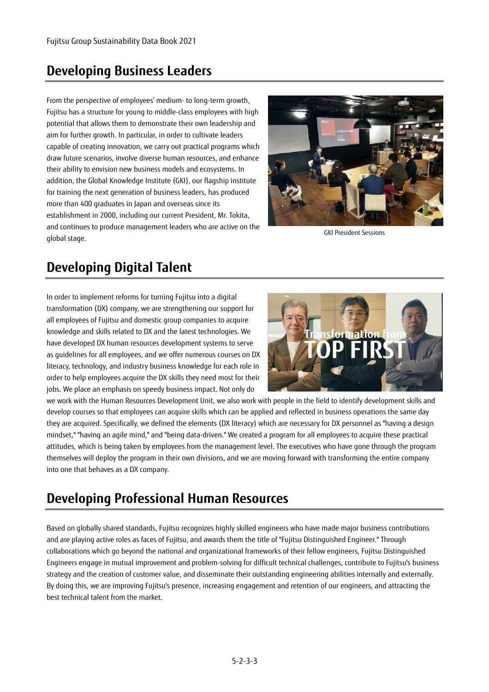## **Developing Business Leaders**

From the perspective of employees' medium- to long-term growth, Fujitsu has a structure for young to middle-class employees with high potential that allows them to demonstrate their own leadership and aim for further growth. In particular, in order to cultivate leaders capable of creating innovation, we carry out practical programs which draw future scenarios, involve diverse human resources, and enhance their ability to envision new business models and ecosystems. In addition, the Global Knowledge Institute (GKI), our flagship institute for training the next generation of business leaders, has produced more than 400 graduates in Japan and overseas since its establishment in 2000, including our current President, Mr. Tokita, and continues to produce management leaders who are active on the global stage.



GKI President Sessions

# **Developing Digital Talent**

In order to implement reforms for turning Fujitsu into a digital transformation (DX) company, we are strengthening our support for all employees of Fujitsu and domestic group companies to acquire knowledge and skills related to DX and the latest technologies. We have developed DX human resources development systems to serve as guidelines for all employees, and we offer numerous courses on DX literacy, technology, and industry business knowledge for each role in order to help employees acquire the DX skills they need most for their jobs. We place an emphasis on speedy business impact. Not only do



we work with the Human Resources Development Unit, we also work with people in the field to identify development skills and develop courses so that employees can acquire skills which can be applied and reflected in business operations the same day they are acquired. Specifically, we defined the elements (DX literacy) which are necessary for DX personnel as "having a design mindset," "having an agile mind," and "being data-driven." We created a program for all employees to acquire these practical attitudes, which is being taken by employees from the management level. The executives who have gone through the program themselves will deploy the program in their own divisions, and we are moving forward with transforming the entire company into one that behaves as a DX company.

## **Developing Professional Human Resources**

Based on globally shared standards, Fujitsu recognizes highly skilled engineers who have made major business contributions and are playing active roles as faces of Fujitsu, and awards them the title of "Fujitsu Distinguished Engineer." Through collaborations which go beyond the national and organizational frameworks of their fellow engineers, Fujitsu Distinguished Engineers engage in mutual improvement and problem-solving for difficult technical challenges, contribute to Fujitsu's business strategy and the creation of customer value, and disseminate their outstanding engineering abilities internally and externally. By doing this, we are improving Fujitsu's presence, increasing engagement and retention of our engineers, and attracting the best technical talent from the market.